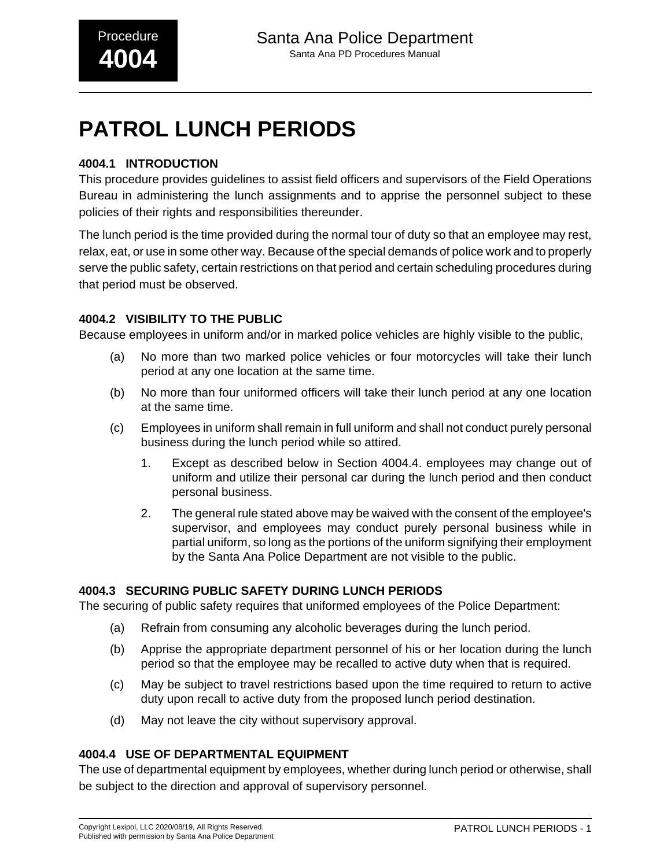# **PATROL LUNCH PERIODS**

### **4004.1 INTRODUCTION**

This procedure provides guidelines to assist field officers and supervisors of the Field Operations Bureau in administering the lunch assignments and to apprise the personnel subject to these policies of their rights and responsibilities thereunder.

The lunch period is the time provided during the normal tour of duty so that an employee may rest, relax, eat, or use in some other way. Because of the special demands of police work and to properly serve the public safety, certain restrictions on that period and certain scheduling procedures during that period must be observed.

#### **4004.2 VISIBILITY TO THE PUBLIC**

Because employees in uniform and/or in marked police vehicles are highly visible to the public,

- (a) No more than two marked police vehicles or four motorcycles will take their lunch period at any one location at the same time.
- (b) No more than four uniformed officers will take their lunch period at any one location at the same time.
- (c) Employees in uniform shall remain in full uniform and shall not conduct purely personal business during the lunch period while so attired.
	- 1. Except as described below in Section 4004.4. employees may change out of uniform and utilize their personal car during the lunch period and then conduct personal business.
	- 2. The general rule stated above may be waived with the consent of the employee's supervisor, and employees may conduct purely personal business while in partial uniform, so long as the portions of the uniform signifying their employment by the Santa Ana Police Department are not visible to the public.

#### **4004.3 SECURING PUBLIC SAFETY DURING LUNCH PERIODS**

The securing of public safety requires that uniformed employees of the Police Department:

- (a) Refrain from consuming any alcoholic beverages during the lunch period.
- (b) Apprise the appropriate department personnel of his or her location during the lunch period so that the employee may be recalled to active duty when that is required.
- (c) May be subject to travel restrictions based upon the time required to return to active duty upon recall to active duty from the proposed lunch period destination.
- (d) May not leave the city without supervisory approval.

#### **4004.4 USE OF DEPARTMENTAL EQUIPMENT**

The use of departmental equipment by employees, whether during lunch period or otherwise, shall be subject to the direction and approval of supervisory personnel.